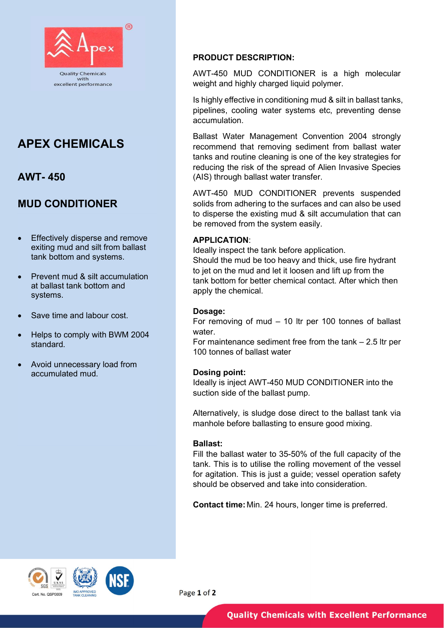

# APEX CHEMICALS

# AWT- 450

# MUD CONDITIONER

- Effectively disperse and remove exiting mud and silt from ballast tank bottom and systems.
- Prevent mud & silt accumulation at ballast tank bottom and systems.
- Save time and labour cost.
- Helps to comply with BWM 2004 standard.
- Avoid unnecessary load from accumulated mud.

# PRODUCT DESCRIPTION:

AWT-450 MUD CONDITIONER is a high molecular weight and highly charged liquid polymer.

Is highly effective in conditioning mud & silt in ballast tanks, pipelines, cooling water systems etc, preventing dense accumulation.

Ballast Water Management Convention 2004 strongly recommend that removing sediment from ballast water tanks and routine cleaning is one of the key strategies for reducing the risk of the spread of Alien Invasive Species (AIS) through ballast water transfer.

AWT-450 MUD CONDITIONER prevents suspended solids from adhering to the surfaces and can also be used to disperse the existing mud & silt accumulation that can be removed from the system easily.

## APPLICATION:

Ideally inspect the tank before application. Should the mud be too heavy and thick, use fire hydrant to jet on the mud and let it loosen and lift up from the tank bottom for better chemical contact. After which then apply the chemical.

#### Dosage:

For removing of mud – 10 ltr per 100 tonnes of ballast water.

For maintenance sediment free from the tank – 2.5 ltr per 100 tonnes of ballast water

#### Dosing point:

Ideally is inject AWT-450 MUD CONDITIONER into the suction side of the ballast pump.

Alternatively, is sludge dose direct to the ballast tank via manhole before ballasting to ensure good mixing.

#### Ballast:

Fill the ballast water to 35-50% of the full capacity of the tank. This is to utilise the rolling movement of the vessel for agitation. This is just a guide: vessel operation safety should be observed and take into consideration.

Contact time: Min. 24 hours, longer time is preferred.